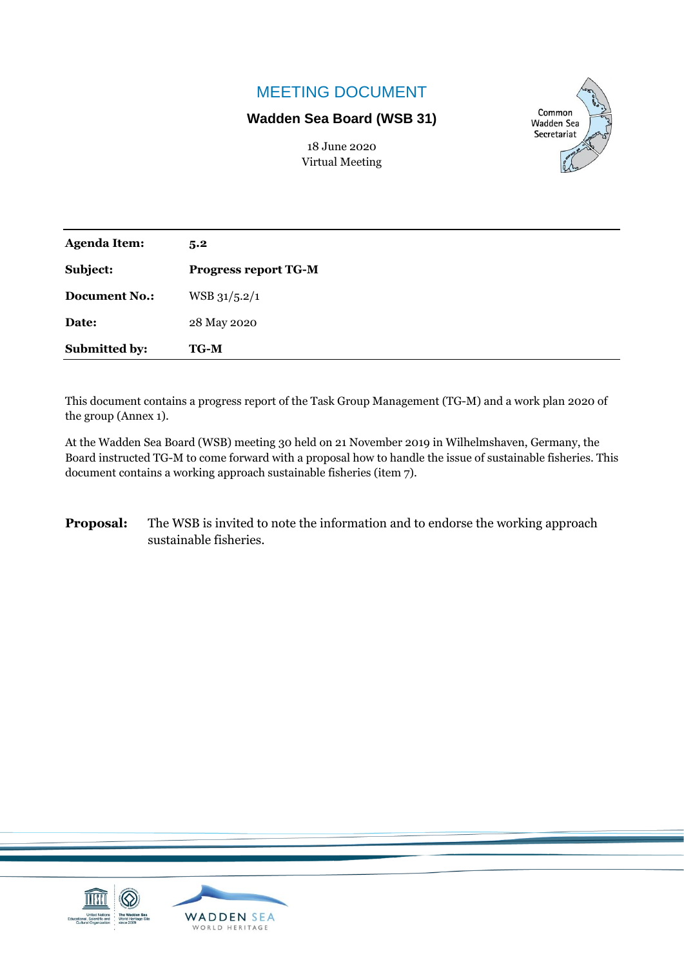# MEETING DOCUMENT

## **Wadden Sea Board (WSB 31)**



18 June 2020 Virtual Meeting

| <b>Agenda Item:</b>  | 5.2                         |  |
|----------------------|-----------------------------|--|
| Subject:             | <b>Progress report TG-M</b> |  |
| <b>Document No.:</b> | $WSB\frac{31}{5.2}/1$       |  |
| Date:                | 28 May 2020                 |  |
| Submitted by:        | <b>TG-M</b>                 |  |

This document contains a progress report of the Task Group Management (TG-M) and a work plan 2020 of the group (Annex 1).

At the Wadden Sea Board (WSB) meeting 30 held on 21 November 2019 in Wilhelmshaven, Germany, the Board instructed TG-M to come forward with a proposal how to handle the issue of sustainable fisheries. This document contains a working approach sustainable fisheries (item 7).

**Proposal:** The WSB is invited to note the information and to endorse the working approach sustainable fisheries.

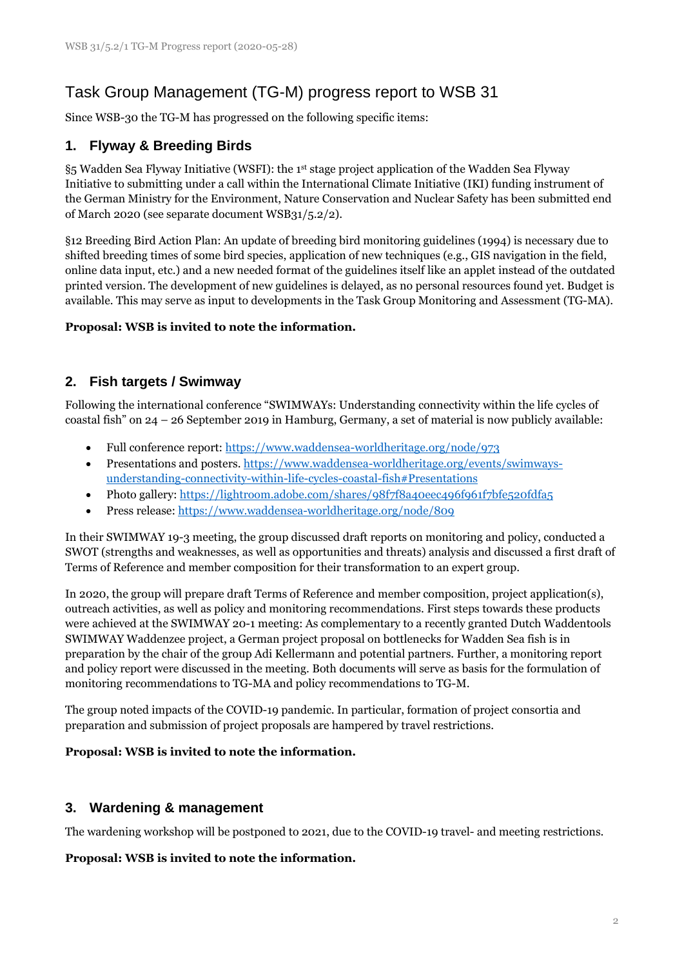# Task Group Management (TG-M) progress report to WSB 31

Since WSB-30 the TG-M has progressed on the following specific items:

## **1. Flyway & Breeding Birds**

§5 Wadden Sea Flyway Initiative (WSFI): the 1st stage project application of the Wadden Sea Flyway Initiative to submitting under a call within the International Climate Initiative (IKI) funding instrument of the German Ministry for the Environment, Nature Conservation and Nuclear Safety has been submitted end of March 2020 (see separate document WSB31/5.2/2).

§12 Breeding Bird Action Plan: An update of breeding bird monitoring guidelines (1994) is necessary due to shifted breeding times of some bird species, application of new techniques (e.g., GIS navigation in the field, online data input, etc.) and a new needed format of the guidelines itself like an applet instead of the outdated printed version. The development of new guidelines is delayed, as no personal resources found yet. Budget is available. This may serve as input to developments in the Task Group Monitoring and Assessment (TG-MA).

#### **Proposal: WSB is invited to note the information.**

## **2. Fish targets / Swimway**

Following the international conference "SWIMWAYs: Understanding connectivity within the life cycles of coastal fish" on 24 – 26 September 2019 in Hamburg, Germany, a set of material is now publicly available:

- Full conference report:<https://www.waddensea-worldheritage.org/node/973>
- Presentations and posters. [https://www.waddensea-worldheritage.org/events/swimways](https://www.waddensea-worldheritage.org/events/swimways-understanding-connectivity-within-life-cycles-coastal-fish#Presentations)[understanding-connectivity-within-life-cycles-coastal-fish#Presentations](https://www.waddensea-worldheritage.org/events/swimways-understanding-connectivity-within-life-cycles-coastal-fish#Presentations)
- Photo gallery[: https://lightroom.adobe.com/shares/98f7f8a40eec496f961f7bfe520fdfa5](https://lightroom.adobe.com/shares/98f7f8a40eec496f961f7bfe520fdfa5)
- Press release:<https://www.waddensea-worldheritage.org/node/809>

In their SWIMWAY 19-3 meeting, the group discussed draft reports on monitoring and policy, conducted a SWOT (strengths and weaknesses, as well as opportunities and threats) analysis and discussed a first draft of Terms of Reference and member composition for their transformation to an expert group.

In 2020, the group will prepare draft Terms of Reference and member composition, project application(s), outreach activities, as well as policy and monitoring recommendations. First steps towards these products were achieved at the SWIMWAY 20-1 meeting: As complementary to a recently granted Dutch Waddentools SWIMWAY Waddenzee project, a German project proposal on bottlenecks for Wadden Sea fish is in preparation by the chair of the group Adi Kellermann and potential partners. Further, a monitoring report and policy report were discussed in the meeting. Both documents will serve as basis for the formulation of monitoring recommendations to TG-MA and policy recommendations to TG-M.

The group noted impacts of the COVID-19 pandemic. In particular, formation of project consortia and preparation and submission of project proposals are hampered by travel restrictions.

#### **Proposal: WSB is invited to note the information.**

### **3. Wardening & management**

The wardening workshop will be postponed to 2021, due to the COVID-19 travel- and meeting restrictions.

#### **Proposal: WSB is invited to note the information.**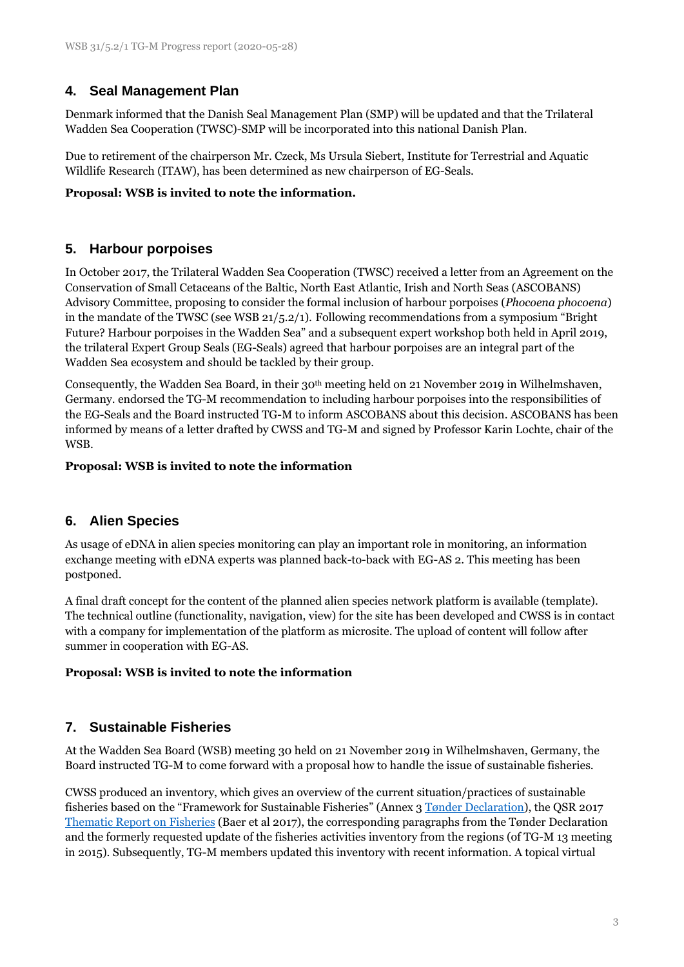## **4. Seal Management Plan**

Denmark informed that the Danish Seal Management Plan (SMP) will be updated and that the Trilateral Wadden Sea Cooperation (TWSC)-SMP will be incorporated into this national Danish Plan.

Due to retirement of the chairperson Mr. Czeck, Ms Ursula Siebert, Institute for Terrestrial and Aquatic Wildlife Research (ITAW), has been determined as new chairperson of EG-Seals.

#### **Proposal: WSB is invited to note the information.**

## **5. Harbour porpoises**

In October 2017, the Trilateral Wadden Sea Cooperation (TWSC) received a letter from an Agreement on the Conservation of Small Cetaceans of the Baltic, North East Atlantic, Irish and North Seas (ASCOBANS) Advisory Committee, proposing to consider the formal inclusion of harbour porpoises (*Phocoena phocoena*) in the mandate of the TWSC (see WSB 21/5.2/1). Following recommendations from a symposium "Bright Future? Harbour porpoises in the Wadden Sea" and a subsequent expert workshop both held in April 2019, the trilateral Expert Group Seals (EG-Seals) agreed that harbour porpoises are an integral part of the Wadden Sea ecosystem and should be tackled by their group.

Consequently, the Wadden Sea Board, in their 30th meeting held on 21 November 2019 in Wilhelmshaven, Germany. endorsed the TG-M recommendation to including harbour porpoises into the responsibilities of the EG-Seals and the Board instructed TG-M to inform ASCOBANS about this decision. ASCOBANS has been informed by means of a letter drafted by CWSS and TG-M and signed by Professor Karin Lochte, chair of the WSB.

#### **Proposal: WSB is invited to note the information**

### **6. Alien Species**

As usage of eDNA in alien species monitoring can play an important role in monitoring, an information exchange meeting with eDNA experts was planned back-to-back with EG-AS 2. This meeting has been postponed.

A final draft concept for the content of the planned alien species network platform is available (template). The technical outline (functionality, navigation, view) for the site has been developed and CWSS is in contact with a company for implementation of the platform as microsite. The upload of content will follow after summer in cooperation with EG-AS.

#### **Proposal: WSB is invited to note the information**

### **7. Sustainable Fisheries**

At the Wadden Sea Board (WSB) meeting 30 held on 21 November 2019 in Wilhelmshaven, Germany, the Board instructed TG-M to come forward with a proposal how to handle the issue of sustainable fisheries.

CWSS produced an inventory, which gives an overview of the current situation/practices of sustainable fisheries based on the "Framework for Sustainable Fisheries" (Annex 3 [Tønder Declaration\)](https://www.waddensea-worldheritage.org/sites/default/files/2014_toender%20declaration.pdf), the QSR 2017 [Thematic Report on Fisheries](https://qsr.waddensea-worldheritage.org/reports/fisheries) (Baer et al 2017), the corresponding paragraphs from the Tønder Declaration and the formerly requested update of the fisheries activities inventory from the regions (of TG-M 13 meeting in 2015). Subsequently, TG-M members updated this inventory with recent information. A topical virtual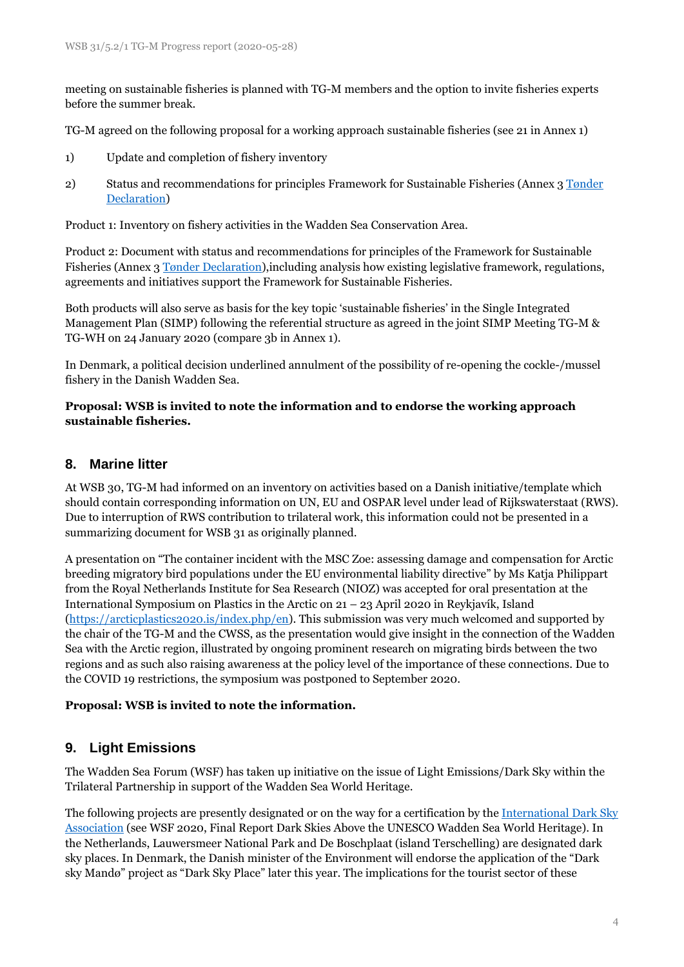meeting on sustainable fisheries is planned with TG-M members and the option to invite fisheries experts before the summer break.

TG-M agreed on the following proposal for a working approach sustainable fisheries (see 21 in Annex 1)

- 1) Update and completion of fishery inventory
- 2) Status and recommendations for principles Framework for Sustainable Fisheries (Annex 3 [Tønder](https://www.waddensea-worldheritage.org/sites/default/files/2014_toender%20declaration.pdf)  [Declaration\)](https://www.waddensea-worldheritage.org/sites/default/files/2014_toender%20declaration.pdf)

Product 1: Inventory on fishery activities in the Wadden Sea Conservation Area.

Product 2: Document with status and recommendations for principles of the Framework for Sustainable Fisheries (Annex [3 Tønder Declaration\)](https://www.waddensea-worldheritage.org/sites/default/files/2014_toender%20declaration.pdf),including analysis how existing legislative framework, regulations, agreements and initiatives support the Framework for Sustainable Fisheries.

Both products will also serve as basis for the key topic 'sustainable fisheries' in the Single Integrated Management Plan (SIMP) following the referential structure as agreed in the joint SIMP Meeting TG-M & TG-WH on 24 January 2020 (compare 3b in Annex 1).

In Denmark, a political decision underlined annulment of the possibility of re-opening the cockle-/mussel fishery in the Danish Wadden Sea.

#### **Proposal: WSB is invited to note the information and to endorse the working approach sustainable fisheries.**

### **8. Marine litter**

At WSB 30, TG-M had informed on an inventory on activities based on a Danish initiative/template which should contain corresponding information on UN, EU and OSPAR level under lead of Rijkswaterstaat (RWS). Due to interruption of RWS contribution to trilateral work, this information could not be presented in a summarizing document for WSB 31 as originally planned.

A presentation on "The container incident with the MSC Zoe: assessing damage and compensation for Arctic breeding migratory bird populations under the EU environmental liability directive" by Ms Katja Philippart from the Royal Netherlands Institute for Sea Research (NIOZ) was accepted for oral presentation at the International Symposium on Plastics in the Arctic on 21 – 23 April 2020 in Reykjavík, Island [\(https://arcticplastics2020.is/index.php/en\)](https://arcticplastics2020.is/index.php/en). This submission was very much welcomed and supported by the chair of the TG-M and the CWSS, as the presentation would give insight in the connection of the Wadden Sea with the Arctic region, illustrated by ongoing prominent research on migrating birds between the two regions and as such also raising awareness at the policy level of the importance of these connections. Due to the COVID 19 restrictions, the symposium was postponed to September 2020.

#### **Proposal: WSB is invited to note the information.**

## **9. Light Emissions**

The Wadden Sea Forum (WSF) has taken up initiative on the issue of Light Emissions/Dark Sky within the Trilateral Partnership in support of the Wadden Sea World Heritage.

The following projects are presently designated or on the way for a certification by the [International Dark Sky](https://www.darksky.org/)  [Association](https://www.darksky.org/) (see WSF 2020, Final Report Dark Skies Above the UNESCO Wadden Sea World Heritage). In the Netherlands, Lauwersmeer National Park and De Boschplaat (island Terschelling) are designated dark sky places. In Denmark, the Danish minister of the Environment will endorse the application of the "Dark sky Mandø" project as "Dark Sky Place" later this year. The implications for the tourist sector of these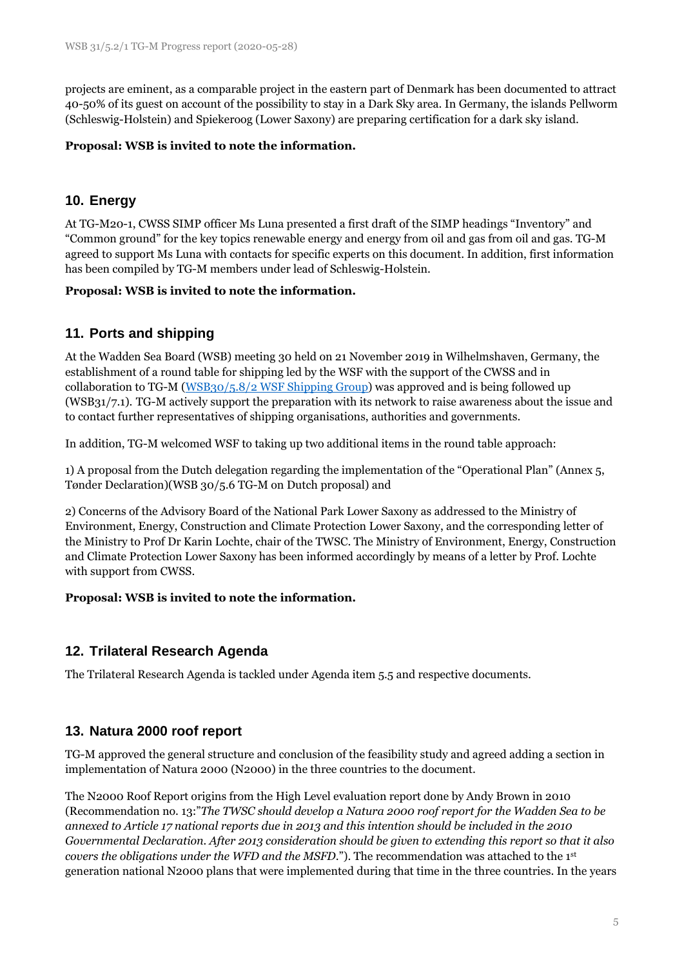projects are eminent, as a comparable project in the eastern part of Denmark has been documented to attract 40-50% of its guest on account of the possibility to stay in a Dark Sky area. In Germany, the islands Pellworm (Schleswig-Holstein) and Spiekeroog (Lower Saxony) are preparing certification for a dark sky island.

#### **Proposal: WSB is invited to note the information.**

## **10. Energy**

At TG-M20-1, CWSS SIMP officer Ms Luna presented a first draft of the SIMP headings "Inventory" and "Common ground" for the key topics renewable energy and energy from oil and gas from oil and gas. TG-M agreed to support Ms Luna with contacts for specific experts on this document. In addition, first information has been compiled by TG-M members under lead of Schleswig-Holstein.

#### **Proposal: WSB is invited to note the information.**

## **11. Ports and shipping**

At the Wadden Sea Board (WSB) meeting 30 held on 21 November 2019 in Wilhelmshaven, Germany, the establishment of a round table for shipping led by the WSF with the support of the CWSS and in collaboration to TG-M [\(WSB30/5.8/2 WSF Shipping Group\)](https://www.waddensea-worldheritage.org/sites/default/files/WSB30%205.8-2%20ws%20shipping%20group.pdf) was approved and is being followed up (WSB31/7.1). TG-M actively support the preparation with its network to raise awareness about the issue and to contact further representatives of shipping organisations, authorities and governments.

In addition, TG-M welcomed WSF to taking up two additional items in the round table approach:

1) A proposal from the Dutch delegation regarding the implementation of the "Operational Plan" (Annex 5, Tønder Declaration)[\(WSB 30/5.6 TG-M on Dutch proposal\)](https://www.waddensea-worldheritage.org/sites/default/files/WSB30%205.5_tg-m_on_dutch_proposal.pdf) and

2) Concerns of the Advisory Board of the National Park Lower Saxony as addressed to the Ministry of Environment, Energy, Construction and Climate Protection Lower Saxony, and the corresponding letter of the Ministry to Prof Dr Karin Lochte, chair of the TWSC. The Ministry of Environment, Energy, Construction and Climate Protection Lower Saxony has been informed accordingly by means of a letter by Prof. Lochte with support from CWSS.

#### **Proposal: WSB is invited to note the information.**

## **12. Trilateral Research Agenda**

The Trilateral Research Agenda is tackled under Agenda item 5.5 and respective documents.

### **13. Natura 2000 roof report**

TG-M approved the general structure and conclusion of the feasibility study and agreed adding a section in implementation of Natura 2000 (N2000) in the three countries to the document.

The N2000 Roof Report origins from the High Level evaluation report done by Andy Brown in 2010 (Recommendation no. 13:"*The TWSC should develop a Natura 2000 roof report for the Wadden Sea to be annexed to Article 17 national reports due in 2013 and this intention should be included in the 2010 Governmental Declaration. After 2013 consideration should be given to extending this report so that it also covers the obligations under the WFD and the MSFD*."). The recommendation was attached to the 1st generation national N2000 plans that were implemented during that time in the three countries. In the years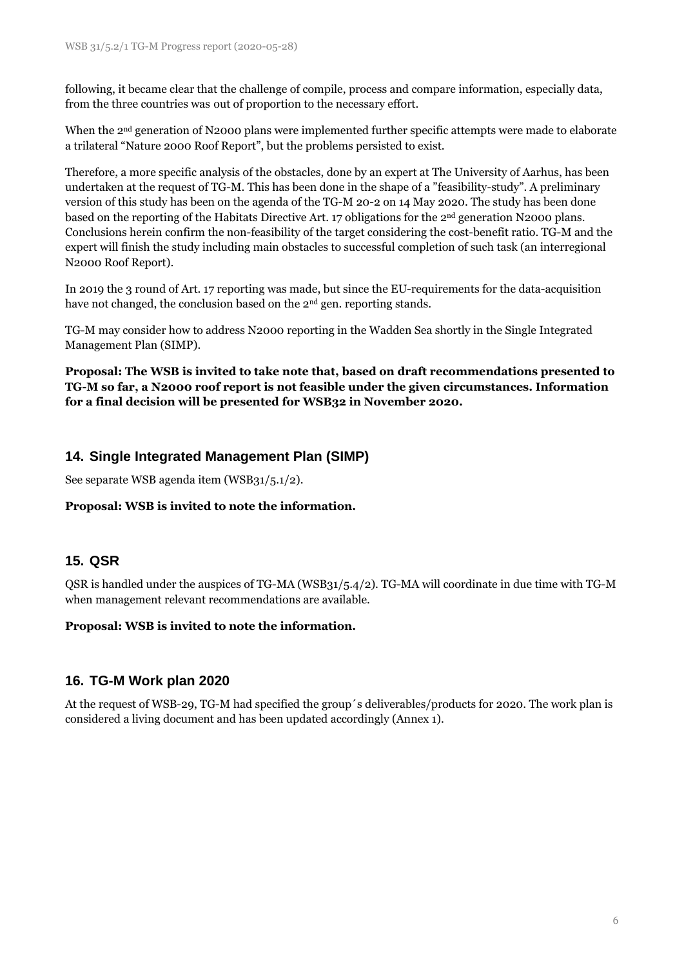following, it became clear that the challenge of compile, process and compare information, especially data, from the three countries was out of proportion to the necessary effort.

When the 2<sup>nd</sup> generation of N2000 plans were implemented further specific attempts were made to elaborate a trilateral "Nature 2000 Roof Report", but the problems persisted to exist.

Therefore, a more specific analysis of the obstacles, done by an expert at The University of Aarhus, has been undertaken at the request of TG-M. This has been done in the shape of a "feasibility-study". A preliminary version of this study has been on the agenda of the TG-M 20-2 on 14 May 2020. The study has been done based on the reporting of the Habitats Directive Art. 17 obligations for the 2nd generation N2000 plans. Conclusions herein confirm the non-feasibility of the target considering the cost-benefit ratio. TG-M and the expert will finish the study including main obstacles to successful completion of such task (an interregional N2000 Roof Report).

In 2019 the 3 round of Art. 17 reporting was made, but since the EU-requirements for the data-acquisition have not changed, the conclusion based on the 2<sup>nd</sup> gen. reporting stands.

TG-M may consider how to address N2000 reporting in the Wadden Sea shortly in the Single Integrated Management Plan (SIMP).

**Proposal: The WSB is invited to take note that, based on draft recommendations presented to TG-M so far, a N2000 roof report is not feasible under the given circumstances. Information for a final decision will be presented for WSB32 in November 2020.**

## **14. Single Integrated Management Plan (SIMP)**

See separate WSB agenda item (WSB31/5.1/2).

#### **Proposal: WSB is invited to note the information.**

### **15. QSR**

QSR is handled under the auspices of TG-MA (WSB31/5.4/2). TG-MA will coordinate in due time with TG-M when management relevant recommendations are available.

#### **Proposal: WSB is invited to note the information.**

### **16. TG-M Work plan 2020**

At the request of WSB-29, TG-M had specified the group´s deliverables/products for 2020. The work plan is considered a living document and has been updated accordingly (Annex 1).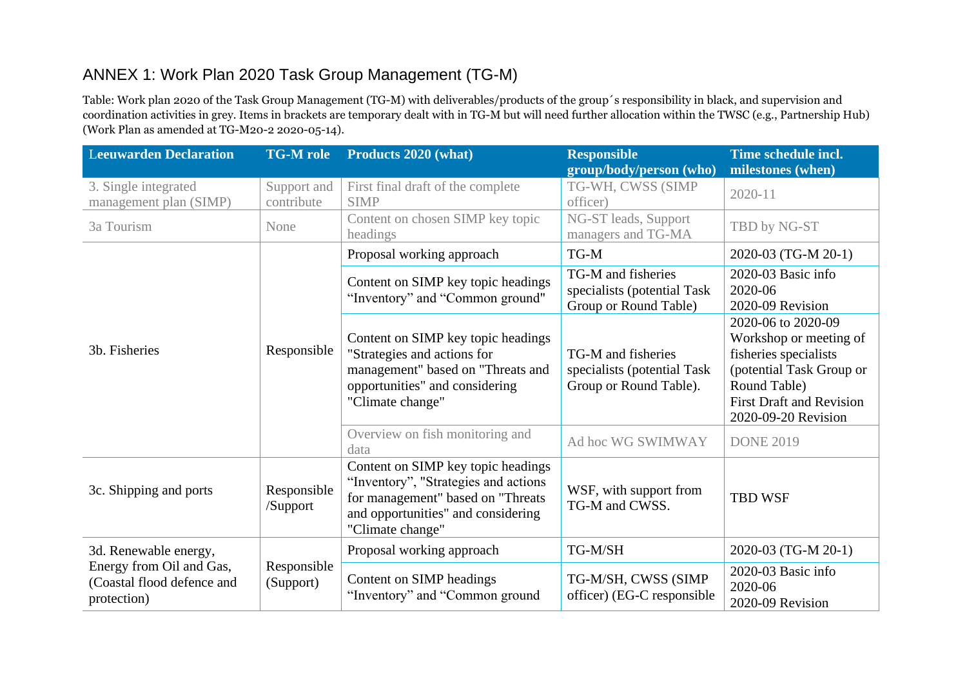# ANNEX 1: Work Plan 2020 Task Group Management (TG-M)

Table: Work plan 2020 of the Task Group Management (TG-M) with deliverables/products of the group´s responsibility in black, and supervision and coordination activities in grey. Items in brackets are temporary dealt with in TG-M but will need further allocation within the TWSC (e.g., Partnership Hub) (Work Plan as amended at TG-M20-2 2020-05-14).

| <b>Leeuwarden Declaration</b>                                                                  | <b>TG-M</b> role          | Products 2020 (what)                                                                                                                                                      | <b>Responsible</b><br>group/body/person (who)                               | Time schedule incl.<br>milestones (when)                                                                                                                                    |
|------------------------------------------------------------------------------------------------|---------------------------|---------------------------------------------------------------------------------------------------------------------------------------------------------------------------|-----------------------------------------------------------------------------|-----------------------------------------------------------------------------------------------------------------------------------------------------------------------------|
| 3. Single integrated<br>management plan (SIMP)                                                 | Support and<br>contribute | First final draft of the complete<br><b>SIMP</b>                                                                                                                          | TG-WH, CWSS (SIMP<br>officer)                                               | 2020-11                                                                                                                                                                     |
| 3a Tourism                                                                                     | None                      | Content on chosen SIMP key topic<br>headings                                                                                                                              | NG-ST leads, Support<br>managers and TG-MA                                  | TBD by NG-ST                                                                                                                                                                |
|                                                                                                | Responsible               | Proposal working approach                                                                                                                                                 | TG-M                                                                        | 2020-03 (TG-M 20-1)                                                                                                                                                         |
| 3b. Fisheries                                                                                  |                           | Content on SIMP key topic headings<br>"Inventory" and "Common ground"                                                                                                     | TG-M and fisheries<br>specialists (potential Task<br>Group or Round Table)  | 2020-03 Basic info<br>2020-06<br>2020-09 Revision                                                                                                                           |
|                                                                                                |                           | Content on SIMP key topic headings<br>"Strategies and actions for<br>management" based on "Threats and<br>opportunities" and considering<br>"Climate change"              | TG-M and fisheries<br>specialists (potential Task<br>Group or Round Table). | 2020-06 to 2020-09<br>Workshop or meeting of<br>fisheries specialists<br>(potential Task Group or<br>Round Table)<br><b>First Draft and Revision</b><br>2020-09-20 Revision |
|                                                                                                |                           | Overview on fish monitoring and<br>data                                                                                                                                   | Ad hoc WG SWIMWAY                                                           | <b>DONE 2019</b>                                                                                                                                                            |
| 3c. Shipping and ports                                                                         | Responsible<br>/Support   | Content on SIMP key topic headings<br>"Inventory", "Strategies and actions<br>for management" based on "Threats<br>and opportunities" and considering<br>"Climate change" | WSF, with support from<br>TG-M and CWSS.                                    | <b>TBD WSF</b>                                                                                                                                                              |
| 3d. Renewable energy,<br>Energy from Oil and Gas,<br>(Coastal flood defence and<br>protection) | Responsible<br>(Support)  | Proposal working approach                                                                                                                                                 | TG-M/SH                                                                     | 2020-03 (TG-M 20-1)                                                                                                                                                         |
|                                                                                                |                           | Content on SIMP headings<br>"Inventory" and "Common ground                                                                                                                | TG-M/SH, CWSS (SIMP<br>officer) (EG-C responsible                           | 2020-03 Basic info<br>2020-06<br>2020-09 Revision                                                                                                                           |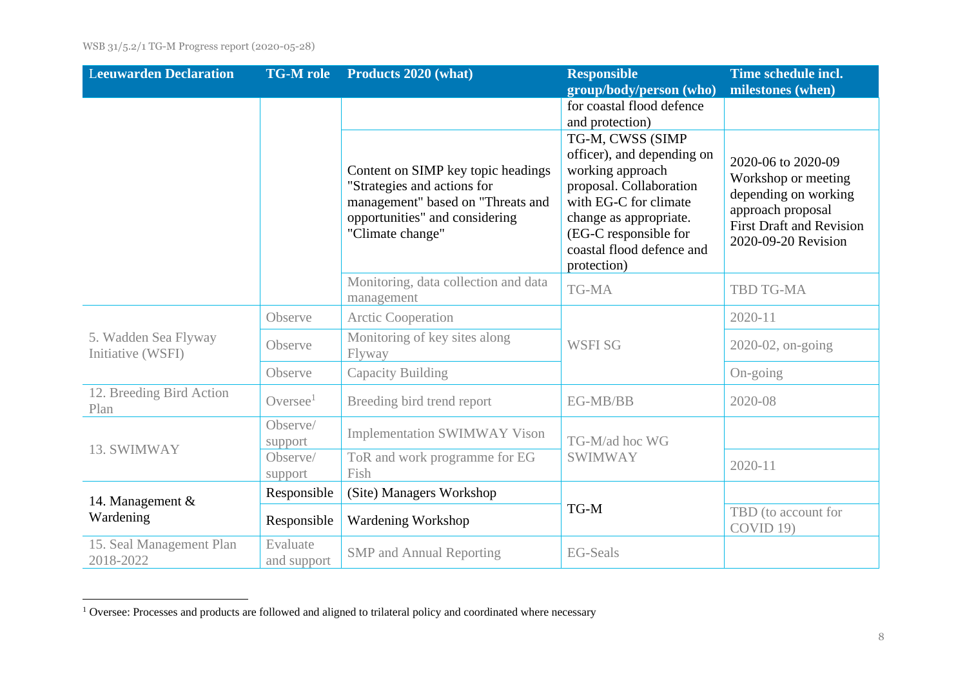| <b>Leeuwarden Declaration</b>             | <b>TG-M</b> role        | Products 2020 (what)                                                                                                                                         | <b>Responsible</b>                                                                                                                                                                                                    | Time schedule incl.                                                                                                                              |
|-------------------------------------------|-------------------------|--------------------------------------------------------------------------------------------------------------------------------------------------------------|-----------------------------------------------------------------------------------------------------------------------------------------------------------------------------------------------------------------------|--------------------------------------------------------------------------------------------------------------------------------------------------|
|                                           |                         |                                                                                                                                                              | group/body/person (who)                                                                                                                                                                                               | milestones (when)                                                                                                                                |
|                                           |                         |                                                                                                                                                              | for coastal flood defence<br>and protection)                                                                                                                                                                          |                                                                                                                                                  |
|                                           |                         | Content on SIMP key topic headings<br>"Strategies and actions for<br>management" based on "Threats and<br>opportunities" and considering<br>"Climate change" | TG-M, CWSS (SIMP<br>officer), and depending on<br>working approach<br>proposal. Collaboration<br>with EG-C for climate<br>change as appropriate.<br>(EG-C responsible for<br>coastal flood defence and<br>protection) | 2020-06 to 2020-09<br>Workshop or meeting<br>depending on working<br>approach proposal<br><b>First Draft and Revision</b><br>2020-09-20 Revision |
|                                           |                         | Monitoring, data collection and data<br>management                                                                                                           | TG-MA                                                                                                                                                                                                                 | <b>TBD TG-MA</b>                                                                                                                                 |
|                                           | Observe                 | <b>Arctic Cooperation</b>                                                                                                                                    | <b>WSFISG</b>                                                                                                                                                                                                         | 2020-11                                                                                                                                          |
| 5. Wadden Sea Flyway<br>Initiative (WSFI) | Observe                 | Monitoring of key sites along<br>Flyway                                                                                                                      |                                                                                                                                                                                                                       | 2020-02, on-going                                                                                                                                |
|                                           | Observe                 | <b>Capacity Building</b>                                                                                                                                     |                                                                                                                                                                                                                       | On-going                                                                                                                                         |
| 12. Breeding Bird Action<br>Plan          | Oversee $1$             | Breeding bird trend report                                                                                                                                   | EG-MB/BB                                                                                                                                                                                                              | 2020-08                                                                                                                                          |
|                                           | Observe/<br>support     | <b>Implementation SWIMWAY Vison</b>                                                                                                                          | TG-M/ad hoc WG<br><b>SWIMWAY</b>                                                                                                                                                                                      |                                                                                                                                                  |
| 13. SWIMWAY                               | Observe/<br>support     | ToR and work programme for EG<br>Fish                                                                                                                        |                                                                                                                                                                                                                       | $2020 - 11$                                                                                                                                      |
| 14. Management $\&$                       | Responsible             | (Site) Managers Workshop                                                                                                                                     | TG-M                                                                                                                                                                                                                  |                                                                                                                                                  |
| Wardening                                 | Responsible             | <b>Wardening Workshop</b>                                                                                                                                    |                                                                                                                                                                                                                       | TBD (to account for<br>COVID 19)                                                                                                                 |
| 15. Seal Management Plan<br>2018-2022     | Evaluate<br>and support | <b>SMP</b> and Annual Reporting                                                                                                                              | <b>EG-Seals</b>                                                                                                                                                                                                       |                                                                                                                                                  |

<sup>&</sup>lt;sup>1</sup> Oversee: Processes and products are followed and aligned to trilateral policy and coordinated where necessary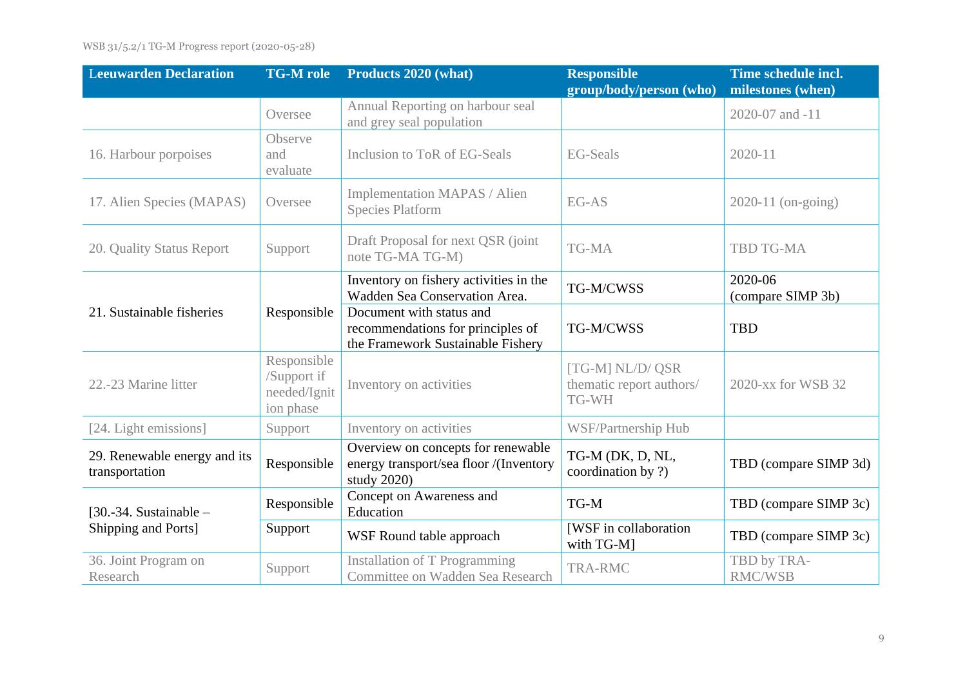| <b>Leeuwarden Declaration</b>                   | <b>TG-M</b> role                                        | Products 2020 (what)                                                                               | <b>Responsible</b><br>group/body/person (who)         | Time schedule incl.<br>milestones (when) |
|-------------------------------------------------|---------------------------------------------------------|----------------------------------------------------------------------------------------------------|-------------------------------------------------------|------------------------------------------|
|                                                 | Oversee                                                 | Annual Reporting on harbour seal<br>and grey seal population                                       |                                                       | 2020-07 and -11                          |
| 16. Harbour porpoises                           | Observe<br>and<br>evaluate                              | Inclusion to ToR of EG-Seals                                                                       | <b>EG-Seals</b>                                       | $2020 - 11$                              |
| 17. Alien Species (MAPAS)                       | Oversee                                                 | Implementation MAPAS / Alien<br><b>Species Platform</b>                                            | EG-AS                                                 | $2020-11$ (on-going)                     |
| 20. Quality Status Report                       | Support                                                 | Draft Proposal for next QSR (joint)<br>note TG-MA TG-M)                                            | TG-MA                                                 | <b>TBD TG-MA</b>                         |
|                                                 |                                                         | Inventory on fishery activities in the<br>Wadden Sea Conservation Area.                            | TG-M/CWSS                                             | 2020-06<br>(compare SIMP 3b)             |
| 21. Sustainable fisheries                       | Responsible                                             | Document with status and<br>recommendations for principles of<br>the Framework Sustainable Fishery | TG-M/CWSS                                             | <b>TBD</b>                               |
| 22.-23 Marine litter                            | Responsible<br>/Support if<br>needed/Ignit<br>ion phase | Inventory on activities                                                                            | [TG-M] NL/D/ QSR<br>thematic report authors/<br>TG-WH | 2020-xx for WSB 32                       |
| [24. Light emissions]                           | Support                                                 | Inventory on activities                                                                            | WSF/Partnership Hub                                   |                                          |
| 29. Renewable energy and its<br>transportation  | Responsible                                             | Overview on concepts for renewable<br>energy transport/sea floor /(Inventory<br>study 2020)        | TG-M (DK, D, NL,<br>coordination by ?)                | TBD (compare SIMP 3d)                    |
| $[30.-34.$ Sustainable -<br>Shipping and Ports] | Responsible                                             | Concept on Awareness and<br>Education                                                              | TG-M                                                  | TBD (compare SIMP 3c)                    |
|                                                 | Support                                                 | WSF Round table approach                                                                           | [WSF in collaboration<br>with TG-M]                   | TBD (compare SIMP 3c)                    |
| 36. Joint Program on<br>Research                | Support                                                 | <b>Installation of T Programming</b><br>Committee on Wadden Sea Research                           | <b>TRA-RMC</b>                                        | TBD by TRA-<br><b>RMC/WSB</b>            |